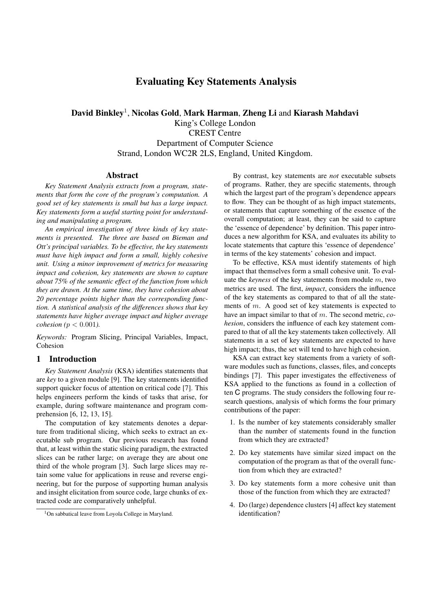# **Evaluating Key Statements Analysis**

**David Binkley**<sup>1</sup>, **Nicolas Gold**, **Mark Harman**, **Zheng Li** and **Kiarash Mahdavi** King's College London CREST Centre Department of Computer Science Strand, London WC2R 2LS, England, United Kingdom.

### **Abstract**

*Key Statement Analysis extracts from a program, statements that form the core of the program's computation. A good set of key statements is small but has a large impact. Key statements form a useful starting point for understanding and manipulating a program.*

*An empirical investigation of three kinds of key statements is presented. The three are based on Bieman and Ott's principal variables. To be effective, the key statements must have high impact and form a small, highly cohesive unit. Using a minor improvement of metrics for measuring impact and cohesion, key statements are shown to capture about 75% of the semantic effect of the function from which they are drawn. At the same time, they have cohesion about 20 percentage points higher than the corresponding function. A statistical analysis of the differences shows that key statements have higher average impact and higher average cohesion (*p < 0.001*).*

*Keywords:* Program Slicing, Principal Variables, Impact, Cohesion

# **1 Introduction**

*Key Statement Analysis* (KSA) identifies statements that are *key* to a given module [9]. The key statements identified support quicker focus of attention on critical code [7]. This helps engineers perform the kinds of tasks that arise, for example, during software maintenance and program comprehension [6, 12, 13, 15].

The computation of key statements denotes a departure from traditional slicing, which seeks to extract an executable sub program. Our previous research has found that, at least within the static slicing paradigm, the extracted slices can be rather large; on average they are about one third of the whole program [3]. Such large slices may retain some value for applications in reuse and reverse engineering, but for the purpose of supporting human analysis and insight elicitation from source code, large chunks of extracted code are comparatively unhelpful.

By contrast, key statements are *not* executable subsets of programs. Rather, they are specific statements, through which the largest part of the program's dependence appears to flow. They can be thought of as high impact statements, or statements that capture something of the essence of the overall computation; at least, they can be said to capture the 'essence of dependence' by definition. This paper introduces a new algorithm for KSA, and evaluates its ability to locate statements that capture this 'essence of dependence' in terms of the key statements' cohesion and impact.

To be effective, KSA must identify statements of high impact that themselves form a small cohesive unit. To evaluate the *keyness* of the key statements from module m, two metrics are used. The first, *impact*, considers the influence of the key statements as compared to that of all the statements of  $m$ . A good set of key statements is expected to have an impact similar to that of m. The second metric, *cohesion*, considers the influence of each key statement compared to that of all the key statements taken collectively. All statements in a set of key statements are expected to have high impact; thus, the set will tend to have high cohesion.

KSA can extract key statements from a variety of software modules such as functions, classes, files, and concepts bindings [7]. This paper investigates the effectiveness of KSA applied to the functions as found in a collection of ten C programs. The study considers the following four research questions, analysis of which forms the four primary contributions of the paper:

- 1. Is the number of key statements considerably smaller than the number of statements found in the function from which they are extracted?
- 2. Do key statements have similar sized impact on the computation of the program as that of the overall function from which they are extracted?
- 3. Do key statements form a more cohesive unit than those of the function from which they are extracted?
- 4. Do (large) dependence clusters [4] affect key statement identification?

<sup>&</sup>lt;sup>1</sup>On sabbatical leave from Lovola College in Maryland.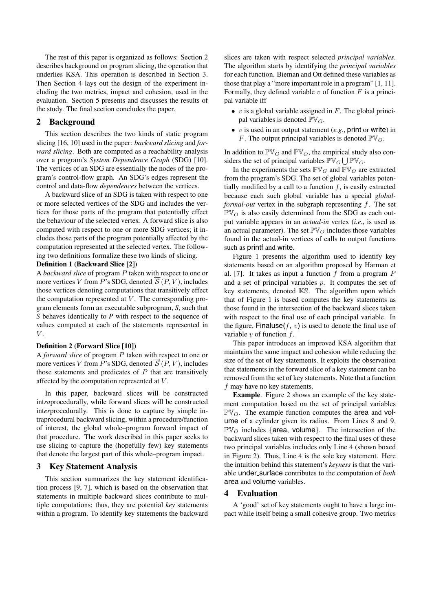The rest of this paper is organized as follows: Section 2 describes background on program slicing, the operation that underlies KSA. This operation is described in Section 3. Then Section 4 lays out the design of the experiment including the two metrics, impact and cohesion, used in the evaluation. Section 5 presents and discusses the results of the study. The final section concludes the paper.

# **2 Background**

This section describes the two kinds of static program slicing [16, 10] used in the paper: *backward slicing* and *forward slicing*. Both are computed as a reachability analysis over a program's *System Dependence Graph* (SDG) [10]. The vertices of an SDG are essentially the nodes of the program's control-flow graph. An SDG's edges represent the control and data-flow *dependences* between the vertices.

A backward slice of an SDG is taken with respect to one or more selected vertices of the SDG and includes the vertices for those parts of the program that potentially effect the behaviour of the selected vertex. A forward slice is also computed with respect to one or more SDG vertices; it includes those parts of the program potentially affected by the computation represented at the selected vertex. The following two definitions formalize these two kinds of slicing.

### **Definition 1 (Backward Slice [2])**

A *backward slice* of program P taken with respect to one or more vertices V from P's SDG, denoted  $\mathcal{F}(P, V)$ , includes those vertices denoting computations that transitively effect the computation represented at  $V$ . The corresponding program elements form an executable subprogram, *S*, such that *S* behaves identically to *P* with respect to the sequence of values computed at each of the statements represented in  $V$ 

### **Definition 2 (Forward Slice [10])**

A *forward slice* of program P taken with respect to one or more vertices V from P's SDG, denoted  $\vec{S}(P, V)$ , includes those statements and predicates of  $P$  that are transitively affected by the computation represented at V .

In this paper, backward slices will be constructed int*ra*procedurally, while forward slices will be constructed int*er*procedurally. This is done to capture by simple intraprocedural backward slicing, within a procedure/function of interest, the global whole–program forward impact of that procedure. The work described in this paper seeks to use slicing to capture the (hopefully few) key statements that denote the largest part of this whole–program impact.

# **3 Key Statement Analysis**

This section summarizes the key statement identification process [9, 7], which is based on the observation that statements in multiple backward slices contribute to multiple computations; thus, they are potential *key* statements within a program. To identify key statements the backward slices are taken with respect selected *principal variables*. The algorithm starts by identifying the *principal variables* for each function. Bieman and Ott defined these variables as those that play a "more important role in a program" [1, 11]. Formally, they defined variable  $v$  of function  $F$  is a principal variable iff

- v is a global variable assigned in  $F$ . The global principal variables is denoted  $\mathbb{PV}_G$ .
- v is used in an output statement (*e.g.*, print or write) in F. The output principal variables is denoted  $\mathbb{PV}_O$ .

In addition to  $\mathbb{PV}_G$  and  $\mathbb{PV}_O$ , the empirical study also considers the set of principal variables  $\mathbb{PV}_G \bigcup \mathbb{PV}_O$ .

In the experiments the sets  $\mathbb{PV}_G$  and  $\mathbb{PV}_O$  are extracted from the program's SDG. The set of global variables potentially modified by a call to a function  $f$ , is easily extracted because each such global variable has a special *globalformal-out* vertex in the subgraph representing f. The set  $\mathbb{PV}_O$  is also easily determined from the SDG as each output variable appears in an *actual-in* vertex (*i.e.*, is used as an actual parameter). The set  $\mathbb{PV}_O$  includes those variables found in the actual-in vertices of calls to output functions such as printf and write.

Figure 1 presents the algorithm used to identify key statements based on an algorithm proposed by Harman et al. [7]. It takes as input a function  $f$  from a program  $P$ and a set of principal variables p. It computes the set of key statements, denoted KS. The algorithm upon which that of Figure 1 is based computes the key statements as those found in the intersection of the backward slices taken with respect to the final use of each principal variable. In the figure, Finaluse $(f, v)$  is used to denote the final use of variable  $v$  of function  $f$ .

This paper introduces an improved KSA algorithm that maintains the same impact and cohesion while reducing the size of the set of key statements. It exploits the observation that statements in the forward slice of a key statement can be removed from the set of key statements. Note that a function f may have no key statements.

**Example**. Figure 2 shows an example of the key statement computation based on the set of principal variables  $\mathbb{PV}_O$ . The example function computes the area and volume of a cylinder given its radius. From Lines 8 and 9,  $\mathbb{PV}_O$  includes {area, volume}. The intersection of the backward slices taken with respect to the final uses of these two principal variables includes only Line 4 (shown boxed in Figure 2). Thus, Line 4 is the sole key statement. Here the intuition behind this statement's *keyness* is that the variable under surface contributes to the computation of *both* area and volume variables.

#### **4 Evaluation**

A 'good' set of key statements ought to have a large impact while itself being a small cohesive group. Two metrics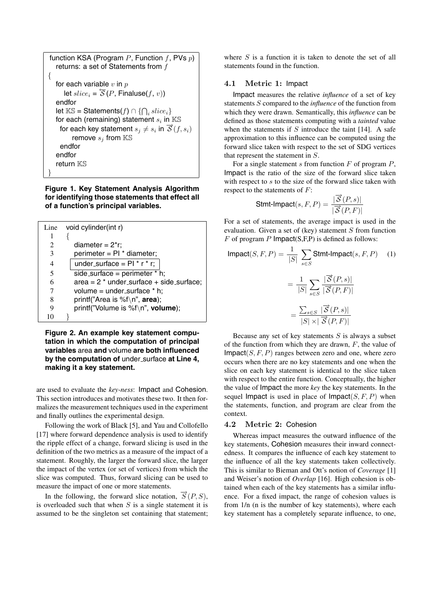| function KSA (Program P, Function f, PVs $p$ )<br>returns: a set of Statements from $f$ |
|-----------------------------------------------------------------------------------------|
|                                                                                         |
| for each variable $v$ in $p$                                                            |
| let $slice_i = \overleftarrow{S}(P, \text{Finaluse}(f, v))$                             |
| endfor                                                                                  |
| let $\mathbb{KS} =$ Statements $(f) \cap \{ \bigcap_i slice_i \}$                       |
| for each (remaining) statement $s_i$ in $\mathbb{KS}$                                   |
| for each key statement $s_j \neq s_i$ in $\overrightarrow{S}(f, s_i)$                   |
| remove $s_j$ from $\mathbb{KS}$                                                         |
| endfor                                                                                  |
| endfor                                                                                  |
| return ℝՏ                                                                               |
|                                                                                         |

**Figure 1. Key Statement Analysis Algorithm for identifying those statements that effect all of a function's principal variables.**

| Line | void cylinder(int r)                       |
|------|--------------------------------------------|
| 1    |                                            |
| 2    | diameter = $2*r$ ;                         |
| 3    | perimeter = $PI * diameter;$               |
| 4    | under_surface = $Pl * r * r$ ;             |
| 5    | side_surface = perimeter $*$ h;            |
| 6    | $area = 2 * under_surface + side_surface;$ |
|      | volume = $under\_surface * h$ ;            |
| 8    | printf("Area is %f\n", area);              |
| 9    | printf("Volume is %f\n", volume);          |
| 10   |                                            |

**Figure 2. An example key statement computation in which the computation of principal variables** area **and** volume **are both influenced** by the computation of under surface at Line 4, **making it a key statement.**

are used to evaluate the *key-ness*: Impact and Cohesion. This section introduces and motivates these two. It then formalizes the measurement techniques used in the experiment and finally outlines the experimental design.

Following the work of Black [5], and Yau and Collofello [17] where forward dependence analysis is used to identify the ripple effect of a change, forward slicing is used in the definition of the two metrics as a measure of the impact of a statement. Roughly, the larger the forward slice, the larger the impact of the vertex (or set of vertices) from which the slice was computed. Thus, forward slicing can be used to measure the impact of one or more statements.

In the following, the forward slice notation,  $\overline{S}(P, S)$ , is overloaded such that when  $S$  is a single statement it is assumed to be the singleton set containing that statement; where  $S$  is a function it is taken to denote the set of all statements found in the function.

# 4.1 Metric 1: Impact

Impact measures the relative *influence* of a set of key statements S compared to the *influence* of the function from which they were drawn. Semantically, this *influence* can be defined as those statements computing with a *tainted* value when the statements if  $S$  introduce the taint [14]. A safe approximation to this influence can be computed using the forward slice taken with respect to the set of SDG vertices that represent the statement in S.

For a single statement s from function  $F$  of program  $P$ , Impact is the ratio of the size of the forward slice taken with respect to  $s$  to the size of the forward slice taken with respect to the statements of F:

$$
\text{Stmt-Import}(s, F, P) = \frac{|\overrightarrow{S}(P, s)|}{|\overrightarrow{S}(P, F)|}
$$

For a set of statements, the average impact is used in the evaluation. Given a set of (key) statement  $S$  from function  $F$  of program  $P$  Impact(S,F,P) is defined as follows:

$$
\text{Import}(S, F, P) = \frac{1}{|S|} \sum_{s \in S} \text{Stmt-Import}(s, F, P) \quad (1)
$$
\n
$$
= \frac{1}{|S|} \sum_{s \in S} \frac{|\overrightarrow{S}(P, s)|}{|\overrightarrow{S}(P, F)|}
$$
\n
$$
= \frac{\sum_{s \in S} |\overrightarrow{S}(P, s)|}{|\overrightarrow{S}(P, S)|}
$$

$$
= \frac{\sum_{s \in S} |\mathcal{C}(x, \mathcal{C})|}{|S| \times |\mathcal{S}(P, F)|}
$$

Because any set of key statements  $S$  is always a subset of the function from which they are drawn,  $F$ , the value of Impact $(S, F, P)$  ranges between zero and one, where zero occurs when there are no key statements and one when the slice on each key statement is identical to the slice taken with respect to the entire function. Conceptually, the higher the value of Impact the more *key* the key statements. In the sequel Impact is used in place of Impact( $S, F, P$ ) when the statements, function, and program are clear from the context.

# 4.2 Metric 2: Cohesion

Whereas impact measures the outward influence of the key statements, Cohesion measures their inward connectedness. It compares the influence of each key statement to the influence of all the key statements taken collectively. This is similar to Bieman and Ott's notion of *Coverage* [1] and Weiser's notion of *Overlap* [16]. High cohesion is obtained when each of the key statements has a similar influence. For a fixed impact, the range of cohesion values is from 1/n (n is the number of key statements), where each key statement has a completely separate influence, to one,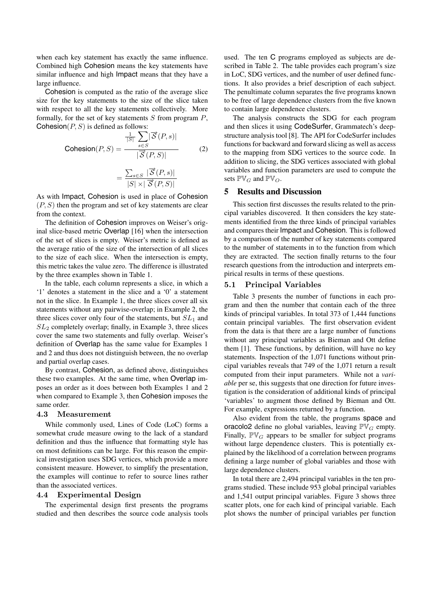when each key statement has exactly the same influence. Combined high Cohesion means the key statements have similar influence and high Impact means that they have a large influence.

Cohesion is computed as the ratio of the average slice size for the key statements to the size of the slice taken with respect to all the key statements collectively. More formally, for the set of key statements  $S$  from program  $P$ , Cohesion( $P, S$ ) is defined as follows:

$$
\text{Cohesion}(P, S) = \frac{\frac{1}{|S|} \sum_{s \in S} |\vec{S}(P, s)|}{|\vec{S}(P, S)|}
$$
\n
$$
= \frac{\sum_{s \in S} |\vec{S}(P, s)|}{|S| \times |\vec{S}(P, S)|}
$$
\n(2)

As with Impact, Cohesion is used in place of Cohesion  $(P, S)$  then the program and set of key statements are clear from the context.

The definition of Cohesion improves on Weiser's original slice-based metric Overlap [16] when the intersection of the set of slices is empty. Weiser's metric is defined as the average ratio of the size of the intersection of all slices to the size of each slice. When the intersection is empty, this metric takes the value zero. The difference is illustrated by the three examples shown in Table 1.

In the table, each column represents a slice, in which a '1' denotes a statement in the slice and a '0' a statement not in the slice. In Example 1, the three slices cover all six statements without any pairwise-overlap; in Example 2, the three slices cover only four of the statements, but  $SL<sub>1</sub>$  and  $SL<sub>2</sub>$  completely overlap; finally, in Example 3, three slices cover the same two statements and fully overlap. Weiser's definition of Overlap has the same value for Examples 1 and 2 and thus does not distinguish between, the no overlap and partial overlap cases.

By contrast, Cohesion, as defined above, distinguishes these two examples. At the same time, when Overlap imposes an order as it does between both Examples 1 and 2 when compared to Example 3, then Cohesion imposes the same order.

### 4.3 Measurement

While commonly used, Lines of Code (LoC) forms a somewhat crude measure owing to the lack of a standard definition and thus the influence that formatting style has on most definitions can be large. For this reason the empirical investigation uses SDG vertices, which provide a more consistent measure. However, to simplify the presentation, the examples will continue to refer to source lines rather than the associated vertices.

### 4.4 Experimental Design

The experimental design first presents the programs studied and then describes the source code analysis tools used. The ten C programs employed as subjects are described in Table 2. The table provides each program's size in LoC, SDG vertices, and the number of user defined functions. It also provides a brief description of each subject. The penultimate column separates the five programs known to be free of large dependence clusters from the five known to contain large dependence clusters.

The analysis constructs the SDG for each program and then slices it using CodeSurfer, Grammatech's deepstructure analysis tool [8]. The API for CodeSurfer includes functions for backward and forward slicing as well as access to the mapping from SDG vertices to the source code. In addition to slicing, the SDG vertices associated with global variables and function parameters are used to compute the sets  $\mathbb{PV}_G$  and  $\mathbb{PV}_O$ .

# **5 Results and Discussion**

This section first discusses the results related to the principal variables discovered. It then considers the key statements identified from the three kinds of principal variables and compares their Impact and Cohesion. This is followed by a comparison of the number of key statements compared to the number of statements in to the function from which they are extracted. The section finally returns to the four research questions from the introduction and interprets empirical results in terms of these questions.

### 5.1 Principal Variables

Table 3 presents the number of functions in each program and then the number that contain each of the three kinds of principal variables. In total 373 of 1,444 functions contain principal variables. The first observation evident from the data is that there are a large number of functions without any principal variables as Bieman and Ott define them [1]. These functions, by definition, will have no key statements. Inspection of the 1,071 functions without principal variables reveals that 749 of the 1,071 return a result computed from their input parameters. While not a *variable* per se, this suggests that one direction for future investigation is the consideration of additional kinds of principal 'variables' to augment those defined by Bieman and Ott. For example, expressions returned by a function.

Also evident from the table, the programs space and oracolo2 define no global variables, leaving  $\mathbb{PV}_G$  empty. Finally,  $\mathbb{PV}_G$  appears to be smaller for subject programs without large dependence clusters. This is potentially explained by the likelihood of a correlation between programs defining a large number of global variables and those with large dependence clusters.

In total there are 2,494 principal variables in the ten programs studied. These include 953 global principal variables and 1,541 output principal variables. Figure 3 shows three scatter plots, one for each kind of principal variable. Each plot shows the number of principal variables per function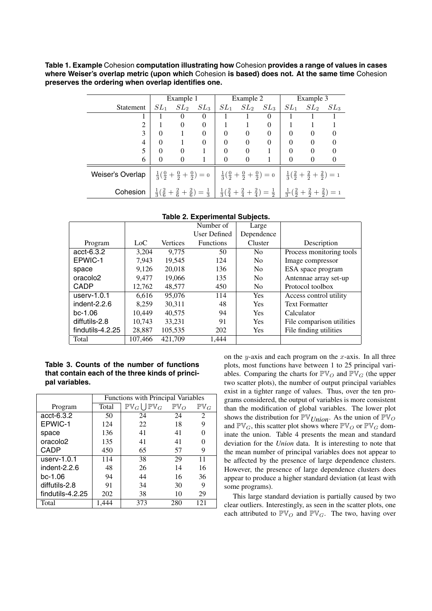**Table 1. Example** Cohesion **computation illustrating how** Cohesion **provides a range of values in cases where Weiser's overlap metric (upon which** Cohesion **is based) does not. At the same time** Cohesion **preserves the ordering when overlap identifies one.**

|                  | Example 1 |          | Example 2    |          |                      | Example 3 |          |                                                                                                                                                                                                                                                     |        |
|------------------|-----------|----------|--------------|----------|----------------------|-----------|----------|-----------------------------------------------------------------------------------------------------------------------------------------------------------------------------------------------------------------------------------------------------|--------|
| Statement        | $SL_1$    | $SL_2$   | $SL_{3}$     |          | $SL_1$ $SL_2$ $SL_3$ |           |          | $SL_1$ $SL_2$                                                                                                                                                                                                                                       | $SL_3$ |
|                  |           | $\theta$ | $\Omega$     |          |                      | $\theta$  |          |                                                                                                                                                                                                                                                     |        |
| 2                |           | 0        | $\Omega$     |          |                      | 0         |          |                                                                                                                                                                                                                                                     |        |
| 3                | $\Omega$  |          | $\mathbf{0}$ | $\Omega$ | $\mathbf{0}$         | $\Omega$  | $\theta$ | $\theta$                                                                                                                                                                                                                                            |        |
| 4                | $\Omega$  |          | $\Omega$     | $\Omega$ | $\Omega$             | $\theta$  | $\Omega$ | $\Omega$                                                                                                                                                                                                                                            |        |
|                  | $\Omega$  | $\Omega$ |              | $\Omega$ | $\theta$             |           | $\Omega$ | $\Omega$                                                                                                                                                                                                                                            |        |
| 6                | $\Omega$  | $\Omega$ |              | $\theta$ | $\theta$             |           | $\Omega$ | $\Omega$                                                                                                                                                                                                                                            |        |
| Weiser's Overlap |           |          |              |          |                      |           |          | $\frac{1}{3}(\frac{0}{2} + \frac{0}{2} + \frac{0}{2}) = 0$ $\frac{1}{3}(\frac{0}{2} + \frac{0}{2} + \frac{0}{2}) = 0$ $\frac{1}{3}(\frac{2}{2} + \frac{2}{2} + \frac{0}{2}) = 1$                                                                    |        |
| Cohesion         |           |          |              |          |                      |           |          | $\frac{1}{3}(\frac{2}{6}+\frac{2}{6}+\frac{2}{6})=\frac{1}{3}\begin{array}{ c c c c c }\frac{1}{3}(\frac{2}{4}+\frac{2}{4}+\frac{2}{4})=\frac{1}{2}\begin{array}{ c c c }\frac{1}{3}(\frac{2}{3}+\frac{2}{3}+\frac{2}{3})=1\end{array} \end{array}$ |        |

|                      |         |                 | Number of<br>Large |                |                           |
|----------------------|---------|-----------------|--------------------|----------------|---------------------------|
|                      |         |                 | User Defined       | Dependence     |                           |
| Program              | Loc     | <b>Vertices</b> | <b>Functions</b>   | Cluster        | Description               |
| $acct-6.3.2$         | 3.204   | 9.775           | 50                 | N <sub>0</sub> | Process monitoring tools  |
| EPWIC-1              | 7.943   | 19.545          | 124                | N <sub>0</sub> | Image compressor          |
| space                | 9,126   | 20,018          | 136                | N <sub>0</sub> | ESA space program         |
| oracolo <sub>2</sub> | 9.477   | 19,066          | 135                | N <sub>0</sub> | Antennae array set-up     |
| <b>CADP</b>          | 12.762  | 48,577          | 450                | N <sub>0</sub> | Protocol toolbox          |
| userv- $1.0.1$       | 6.616   | 95,076          | 114                | <b>Yes</b>     | Access control utility    |
| indent- $2.2.6$      | 8.259   | 30.311          | 48                 | <b>Yes</b>     | <b>Text Formatter</b>     |
| $bc-1.06$            | 10.449  | 40.575          | 94                 | Yes            | Calculator                |
| diffutils-2.8        | 10.743  | 33,231          | 91                 | Yes            | File comparison utilities |
| findutils-4.2.25     | 28,887  | 105,535         | 202                | <b>Yes</b>     | File finding utilities    |
| Total                | 107,466 | 421,709         | 1,444              |                |                           |

### **Table 2. Experimental Subjects.**

# **Table 3. Counts of the number of functions that contain each of the three kinds of principal variables.**

|                      | <b>Functions with Principal Variables</b> |                                     |                 |                 |  |  |
|----------------------|-------------------------------------------|-------------------------------------|-----------------|-----------------|--|--|
| Program              | Total                                     | $\mathbb{PV}_G\bigcup\mathbb{PV}_G$ | $\mathbb{PV}_O$ | $\mathbb{PV}_G$ |  |  |
| acct-6.3.2           | 50                                        | 24                                  | 24              | 2               |  |  |
| EPWIC-1              | 124                                       | 22                                  | 18              | 9               |  |  |
| space                | 136                                       | 41                                  | 41              |                 |  |  |
| oracolo <sub>2</sub> | 135                                       | 41                                  | 41              |                 |  |  |
| CADP                 | 450                                       | 65                                  | 57              | 9               |  |  |
| userv- $1.0.1$       | 114                                       | 38                                  | 29              | 11              |  |  |
| indent-2.2.6         | 48                                        | 26                                  | 14              | 16              |  |  |
| $bc-1.06$            | 94                                        | 44                                  | 16              | 36              |  |  |
| diffutils-2.8        | 91                                        | 34                                  | 30              | 9               |  |  |
| findutils-4.2.25     | 202                                       | 38                                  | 10              | 29              |  |  |
| Total                | 1.444                                     | 373                                 | 280             | 121             |  |  |

on the y-axis and each program on the  $x$ -axis. In all three plots, most functions have between 1 to 25 principal variables. Comparing the charts for  $\mathbb{PV}_O$  and  $\mathbb{PV}_G$  (the upper two scatter plots), the number of output principal variables exist in a tighter range of values. Thus, over the ten programs considered, the output of variables is more consistent than the modification of global variables. The lower plot shows the distribution for  $\mathbb{PV}_{Union}$ . As the union of  $\mathbb{PV}_{O}$ and  $\mathbb{PV}_G$ , this scatter plot shows where  $\mathbb{PV}_O$  or  $\mathbb{PV}_G$  dominate the union. Table 4 presents the mean and standard deviation for the *Union* data. It is interesting to note that the mean number of principal variables does not appear to be affected by the presence of large dependence clusters. However, the presence of large dependence clusters does appear to produce a higher standard deviation (at least with some programs).

This large standard deviation is partially caused by two clear outliers. Interestingly, as seen in the scatter plots, one each attributed to  $\mathbb{PV}_O$  and  $\mathbb{PV}_G$ . The two, having over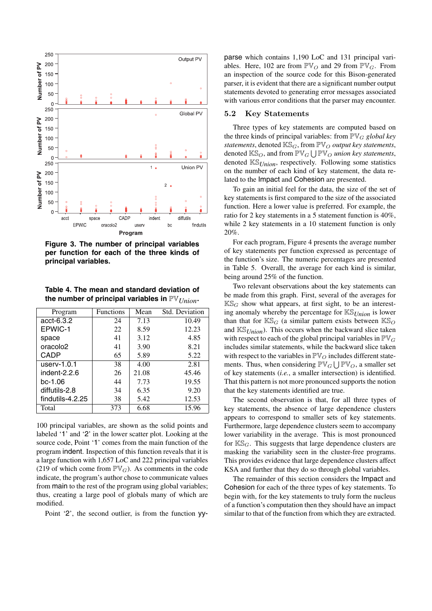

**Figure 3. The number of principal variables per function for each of the three kinds of principal variables.**

**Table 4. The mean and standard deviation of the number of principal variables in** PV*Union***.**

| Program              | <b>Functions</b> | Mean  | Std. Deviation |
|----------------------|------------------|-------|----------------|
| acct-6.3.2           | 24               | 7.13  | 10.49          |
| EPWIC-1              | 22               | 8.59  | 12.23          |
| space                | 41               | 3.12  | 4.85           |
| oracolo <sub>2</sub> | 41               | 3.90  | 8.21           |
| CADP                 | 65               | 5.89  | 5.22           |
| $userv-1.0.1$        | 38               | 4.00  | 2.81           |
| indent-2.2.6         | 26               | 21.08 | 45.46          |
| $bc-1.06$            | 44               | 7.73  | 19.55          |
| diffutils-2.8        | 34               | 6.35  | 9.20           |
| findutils-4.2.25     | 38               | 5.42  | 12.53          |
| Total                | 373              | 6.68  | 15.96          |

100 principal variables, are shown as the solid points and labeled '1' and '2' in the lower scatter plot. Looking at the source code, Point '1' comes from the main function of the program indent. Inspection of this function reveals that it is a large function with 1,657 LoC and 222 principal variables (219 of which come from  $\mathbb{PV}_G$ ). As comments in the code indicate, the program's author chose to communicate values from main to the rest of the program using global variables; thus, creating a large pool of globals many of which are modified.

Point '2', the second outlier, is from the function yy-

parse which contains 1,190 LoC and 131 principal variables. Here, 102 are from  $\mathbb{PV}_O$  and 29 from  $\mathbb{PV}_G$ . From an inspection of the source code for this Bison-generated parser, it is evident that there are a significant number output statements devoted to generating error messages associated with various error conditions that the parser may encounter.

### 5.2 Key Statements

Three types of key statements are computed based on the three kinds of principal variables: from  $\mathbb{PV}_G$  *global key statements*, denoted  $\mathbb{KS}_G$ , from  $\mathbb{PV}_O$  *output key statements*, denoted  $\mathbb{KS}_O$ , and from  $\mathbb{PV}_G \bigcup \mathbb{PV}_O$  *union key statements*, denoted KS*Union*, respectively. Following some statistics on the number of each kind of key statement, the data related to the Impact and Cohesion are presented.

To gain an initial feel for the data, the size of the set of key statements is first compared to the size of the associated function. Here a lower value is preferred. For example, the ratio for 2 key statements in a 5 statement function is 40%, while 2 key statements in a 10 statement function is only 20%.

For each program, Figure 4 presents the average number of key statements per function expressed as percentage of the function's size. The numeric percentages are presented in Table 5. Overall, the average for each kind is similar, being around 25% of the function.

Two relevant observations about the key statements can be made from this graph. First, several of the averages for  $K\mathbb{S}_G$  show what appears, at first sight, to be an interesting anomaly whereby the percentage for KS*Union* is lower than that for  $K\mathbb{S}_G$  (a similar pattern exists between  $K\mathbb{S}_O$ and KS*Union*). This occurs when the backward slice taken with respect to each of the global principal variables in  $\mathbb{PV}_G$ includes similar statements, while the backward slice taken with respect to the variables in  $\mathbb{PV}_O$  includes different statements. Thus, when considering  $\mathbb{PV}_G \bigcup \mathbb{PV}_O$ , a smaller set of key statements (*i.e.*, a smaller intersection) is identified. That this pattern is not more pronounced supports the notion that the key statements identified are true.

The second observation is that, for all three types of key statements, the absence of large dependence clusters appears to correspond to smaller sets of key statements. Furthermore, large dependence clusters seem to accompany lower variability in the average. This is most pronounced for  $K\mathbb{S}_{G}$ . This suggests that large dependence clusters are masking the variability seen in the cluster-free programs. This provides evidence that large dependence clusters affect KSA and further that they do so through global variables.

The remainder of this section considers the Impact and Cohesion for each of the three types of key statements. To begin with, for the key statements to truly form the nucleus of a function's computation then they should have an impact similar to that of the function from which they are extracted.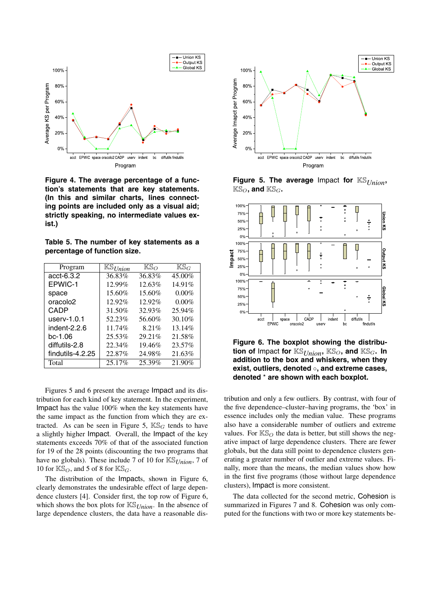

**Figure 4. The average percentage of a function's statements that are key statements. (In this and similar charts, lines connecting points are included only as a visual aid; strictly speaking, no intermediate values exist.)**

**Table 5. The number of key statements as a percentage of function size.**

| Program              | $\mathbb{KS}_{Union}$ | $K\mathbb{S}_{\Omega}$ | $\mathbb{K}\mathbb{S}_G$ |
|----------------------|-----------------------|------------------------|--------------------------|
| acct-6.3.2           | 36.83%                | 36.83%                 | 45.00%                   |
| EPWIC-1              | 12.99%                | 12.63%                 | 14.91%                   |
| space                | 15.60%                | 15.60%                 | $0.00\%$                 |
| oracolo <sub>2</sub> | 12.92%                | 12.92%                 | $0.00\%$                 |
| CADP                 | 31.50%                | 32.93%                 | 25.94%                   |
| $userv-1.0.1$        | 52.23%                | 56.60%                 | 30.10%                   |
| indent-2.2.6         | 11.74%                | 8.21%                  | 13.14%                   |
| bc-1.06              | 25.53%                | 29.21%                 | 21.58%                   |
| diffutils-2.8        | 22.34%                | 19.46%                 | 23.57%                   |
| findutils-4.2.25     | 22.87%                | 24.98%                 | 21.63%                   |
| Total                | 25.17%                | 25.39%                 | 21.90%                   |

Figures 5 and 6 present the average Impact and its distribution for each kind of key statement. In the experiment, Impact has the value 100% when the key statements have the same impact as the function from which they are extracted. As can be seen in Figure 5,  $K\mathbb{S}_{G}$  tends to have a slightly higher Impact. Overall, the Impact of the key statements exceeds 70% of that of the associated function for 19 of the 28 points (discounting the two programs that have no globals). These include 7 of 10 for KS*Union*, 7 of 10 for  $\mathbb{KS}_O$ , and 5 of 8 for  $\mathbb{KS}_G$ .

The distribution of the Impacts, shown in Figure 6, clearly demonstrates the undesirable effect of large dependence clusters [4]. Consider first, the top row of Figure 6, which shows the box plots for KS*Union*. In the absence of large dependence clusters, the data have a reasonable dis-



**Figure 5. The average** Impact **for** KS*Union***,**  $KS<sub>O</sub>$ , and  $KS<sub>G</sub>$ .



**Figure 6. The boxplot showing the distribution of** Impact for  $\mathbb{KS}_{Union}$ ,  $\mathbb{KS}_{O}$ , and  $\mathbb{KS}_{G}$ . In **addition to the box and whiskers, when they exist, outliers, denoted** ◦**, and extreme cases, denoted** \* **are shown with each boxplot.**

tribution and only a few outliers. By contrast, with four of the five dependence–cluster–having programs, the 'box' in essence includes only the median value. These programs also have a considerable number of outliers and extreme values. For  $\mathbb{KS}_O$  the data is better, but still shows the negative impact of large dependence clusters. There are fewer globals, but the data still point to dependence clusters generating a greater number of outlier and extreme values. Finally, more than the means, the median values show how in the first five programs (those without large dependence clusters), Impact is more consistent.

The data collected for the second metric, Cohesion is summarized in Figures 7 and 8. Cohesion was only computed for the functions with two or more key statements be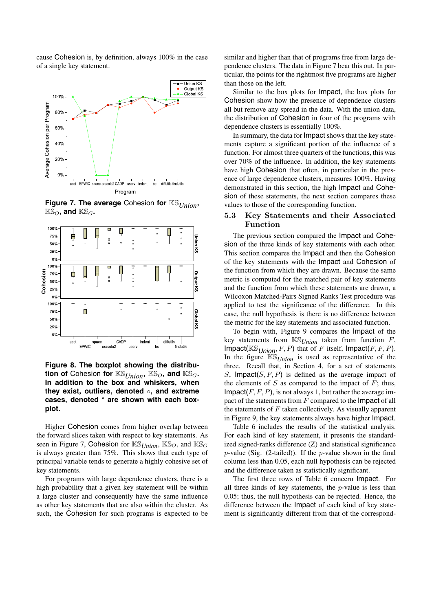cause Cohesion is, by definition, always 100% in the case of a single key statement.



**Figure 7. The average** Cohesion **for** KS*Union***,**  $KS_O$ , and  $KS_G$ .



**Figure 8. The boxplot showing the distribution of** Cohesion **for**  $\mathbb{KS}_{Union}$ ,  $\mathbb{KS}_{O}$ , and  $\mathbb{KS}_{G}$ . **In addition to the box and whiskers, when they exist, outliers, denoted** ◦**, and extreme cases, denoted** \* **are shown with each boxplot.**

Higher Cohesion comes from higher overlap between the forward slices taken with respect to key statements. As seen in Figure 7, Cohesion for  $\mathbb{KS}_{Union}$ ,  $\mathbb{KS}_{O}$ , and  $\mathbb{KS}_{G}$ is always greater than 75%. This shows that each type of principal variable tends to generate a highly cohesive set of key statements.

For programs with large dependence clusters, there is a high probability that a given key statement will be within a large cluster and consequently have the same influence as other key statements that are also within the cluster. As such, the Cohesion for such programs is expected to be similar and higher than that of programs free from large dependence clusters. The data in Figure 7 bear this out. In particular, the points for the rightmost five programs are higher than those on the left.

Similar to the box plots for Impact, the box plots for Cohesion show how the presence of dependence clusters all but remove any spread in the data. With the union data, the distribution of Cohesion in four of the programs with dependence clusters is essentially 100%.

In summary, the data for Impact shows that the key statements capture a significant portion of the influence of a function. For almost three quarters of the functions, this was over 70% of the influence. In addition, the key statements have high Cohesion that often, in particular in the presence of large dependence clusters, measures 100%. Having demonstrated in this section, the high Impact and Cohesion of these statements, the next section compares these values to those of the corresponding function.

# 5.3 Key Statements and their Associated Function

The previous section compared the Impact and Cohesion of the three kinds of key statements with each other. This section compares the Impact and then the Cohesion of the key statements with the Impact and Cohesion of the function from which they are drawn. Because the same metric is computed for the matched pair of key statements and the function from which these statements are drawn, a Wilcoxon Matched-Pairs Signed Ranks Test procedure was applied to test the significance of the difference. In this case, the null hypothesis is there is no difference between the metric for the key statements and associated function.

To begin with, Figure 9 compares the Impact of the key statements from  $\mathbb{KS}_{Union}$  taken from function  $F$ , Impact( $\mathbb{KS}_{\text{Union}}, F, P$ ) that of F itself, Impact(F, F, P). In the figure  $K\mathcal{S}_{Union}$  is used as representative of the three. Recall that, in Section 4, for a set of statements S, Impact $(S, F, P)$  is defined as the average impact of the elements of  $S$  as compared to the impact of  $F$ ; thus, Impact( $F, F, P$ ), is not always 1, but rather the average impact of the statements from  $F$  compared to the Impact of all the statements of  $F$  taken collectively. As visually apparent in Figure 9, the key statements always have higher Impact.

Table 6 includes the results of the statistical analysis. For each kind of key statement, it presents the standardized signed-ranks difference (Z) and statistical significance  $p$ -value (Sig. (2-tailed)). If the  $p$ -value shown in the final column less than 0.05, each null hypothesis can be rejected and the difference taken as statistically significant.

The first three rows of Table 6 concern Impact. For all three kinds of key statements, the  $p$ -value is less than 0.05; thus, the null hypothesis can be rejected. Hence, the difference between the Impact of each kind of key statement is significantly different from that of the correspond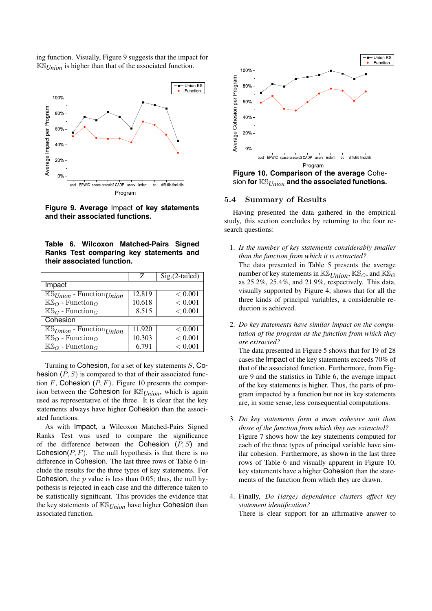ing function. Visually, Figure 9 suggests that the impact for KS*Union* is higher than that of the associated function.



**Figure 9. Average** Impact **of key statements and their associated functions.**

|  | Table 6. Wilcoxon Matched-Pairs Signed  |  |  |  |
|--|-----------------------------------------|--|--|--|
|  | Ranks Test comparing key statements and |  |  |  |
|  | their associated function.              |  |  |  |

|                                                   | Z                   | $Sig.(2-tailed)$ |
|---------------------------------------------------|---------------------|------------------|
| Impact                                            |                     |                  |
| $\mathbb{K}\mathbb{S}_{Union}$ - Function Union   | $\overline{12.819}$ | < 0.001          |
| $\mathbb{KS}_O$ - Function <sub>O</sub>           | 10.618              | < 0.001          |
| $K\mathbb{S}_G$ - Function <sub>G</sub>           | 8.515               | < 0.001          |
| Cohesion                                          |                     |                  |
| $\mathbb{KS}_{Union}$ - Function Union            | 11.920              | < 0.001          |
| $\mathbb{K} \mathbb{S}_O$ - Function <sub>O</sub> | 10.303              | < 0.001          |
| $K\mathbb{S}_G$ - Function <sub>G</sub>           | 6.791               | < 0.001          |

Turning to Cohesion, for a set of key statements  $S$ , Cohesion  $(P, S)$  is compared to that of their associated function  $F$ , Cohesion  $(P, F)$ . Figure 10 presents the comparison between the Cohesion for KS*Union*, which is again used as representative of the three. It is clear that the key statements always have higher Cohesion than the associated functions.

As with Impact, a Wilcoxon Matched-Pairs Signed Ranks Test was used to compare the significance of the difference between the Cohesion  $(P, S)$  and Cohesion( $P, F$ ). The null hypothesis is that there is no difference in Cohesion. The last three rows of Table 6 include the results for the three types of key statements. For Cohesion, the  $p$  value is less than 0.05; thus, the null hypothesis is rejected in each case and the difference taken to be statistically significant. This provides the evidence that the key statements of KS*Union* have higher Cohesion than associated function.



**Figure 10. Comparison of the average** Cohesion **for** KS*Union* **and the associated functions.**

### 5.4 Summary of Results

Having presented the data gathered in the empirical study, this section concludes by returning to the four research questions:

- 1. *Is the number of key statements considerably smaller than the function from which it is extracted?* The data presented in Table 5 presents the average number of key statements in  $\mathbb{KS}_{\text{Union}}$ ,  $\mathbb{KS}_{\text{O}}$ , and  $\mathbb{KS}_{\text{G}}$ as 25.2%, 25.4%, and 21.9%, respectively. This data, visually supported by Figure 4, shows that for all the three kinds of principal variables, a considerable reduction is achieved.
- 2. *Do key statements have similar impact on the computation of the program as the function from which they are extracted?*

The data presented in Figure 5 shows that for 19 of 28 cases the Impact of the key statements exceeds 70% of that of the associated function. Furthermore, from Figure 9 and the statistics in Table 6, the average impact of the key statements is higher. Thus, the parts of program impacted by a function but not its key statements are, in some sense, less consequential computations.

- 3. *Do key statements form a more cohesive unit than those of the function from which they are extracted?* Figure 7 shows how the key statements computed for each of the three types of principal variable have similar cohesion. Furthermore, as shown in the last three rows of Table 6 and visually apparent in Figure 10, key statements have a higher Cohesion than the statements of the function from which they are drawn.
- 4. Finally, *Do (large) dependence clusters affect key statement identification?* There is clear support for an affirmative answer to